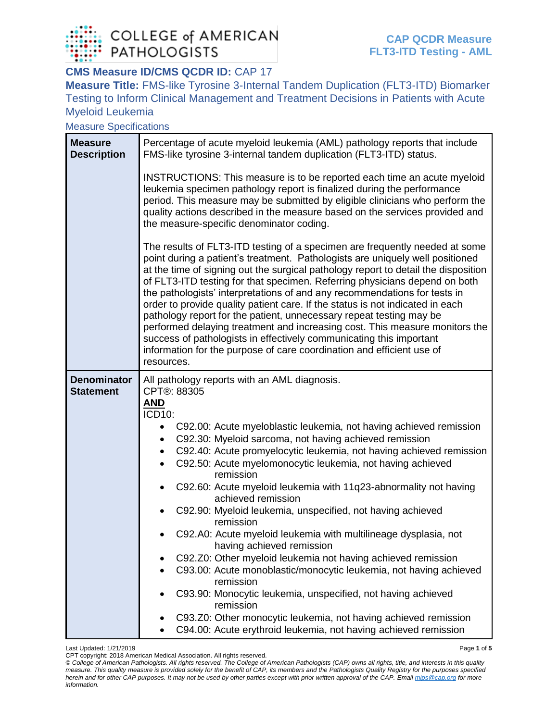

#### **CMS Measure ID/CMS QCDR ID: CAP 17**

**Measure Title:** FMS-like Tyrosine 3-Internal Tandem Duplication (FLT3-ITD) Biomarker Testing to Inform Clinical Management and Treatment Decisions in Patients with Acute Myeloid Leukemia

Measure Specifications

| <b>Measure</b><br><b>Description</b>   | Percentage of acute myeloid leukemia (AML) pathology reports that include<br>FMS-like tyrosine 3-internal tandem duplication (FLT3-ITD) status.                                                                                                                                                                                                                                                                                                                                                                                                                                                                                                                                                                                                                                                                    |  |  |  |
|----------------------------------------|--------------------------------------------------------------------------------------------------------------------------------------------------------------------------------------------------------------------------------------------------------------------------------------------------------------------------------------------------------------------------------------------------------------------------------------------------------------------------------------------------------------------------------------------------------------------------------------------------------------------------------------------------------------------------------------------------------------------------------------------------------------------------------------------------------------------|--|--|--|
|                                        | INSTRUCTIONS: This measure is to be reported each time an acute myeloid<br>leukemia specimen pathology report is finalized during the performance<br>period. This measure may be submitted by eligible clinicians who perform the<br>quality actions described in the measure based on the services provided and<br>the measure-specific denominator coding.                                                                                                                                                                                                                                                                                                                                                                                                                                                       |  |  |  |
|                                        | The results of FLT3-ITD testing of a specimen are frequently needed at some<br>point during a patient's treatment. Pathologists are uniquely well positioned<br>at the time of signing out the surgical pathology report to detail the disposition<br>of FLT3-ITD testing for that specimen. Referring physicians depend on both<br>the pathologists' interpretations of and any recommendations for tests in<br>order to provide quality patient care. If the status is not indicated in each<br>pathology report for the patient, unnecessary repeat testing may be<br>performed delaying treatment and increasing cost. This measure monitors the<br>success of pathologists in effectively communicating this important<br>information for the purpose of care coordination and efficient use of<br>resources. |  |  |  |
| <b>Denominator</b><br><b>Statement</b> | All pathology reports with an AML diagnosis.<br>CPT®: 88305<br><u>AND</u><br>ICD10:<br>C92.00: Acute myeloblastic leukemia, not having achieved remission                                                                                                                                                                                                                                                                                                                                                                                                                                                                                                                                                                                                                                                          |  |  |  |
|                                        | C92.30: Myeloid sarcoma, not having achieved remission<br>$\bullet$<br>C92.40: Acute promyelocytic leukemia, not having achieved remission<br>$\bullet$<br>C92.50: Acute myelomonocytic leukemia, not having achieved<br>$\bullet$<br>remission                                                                                                                                                                                                                                                                                                                                                                                                                                                                                                                                                                    |  |  |  |
|                                        | C92.60: Acute myeloid leukemia with 11q23-abnormality not having<br>$\bullet$<br>achieved remission                                                                                                                                                                                                                                                                                                                                                                                                                                                                                                                                                                                                                                                                                                                |  |  |  |
|                                        | C92.90: Myeloid leukemia, unspecified, not having achieved<br>remission                                                                                                                                                                                                                                                                                                                                                                                                                                                                                                                                                                                                                                                                                                                                            |  |  |  |
|                                        | C92.A0: Acute myeloid leukemia with multilineage dysplasia, not<br>having achieved remission                                                                                                                                                                                                                                                                                                                                                                                                                                                                                                                                                                                                                                                                                                                       |  |  |  |
|                                        | C92.Z0: Other myeloid leukemia not having achieved remission<br>C93.00: Acute monoblastic/monocytic leukemia, not having achieved<br>remission                                                                                                                                                                                                                                                                                                                                                                                                                                                                                                                                                                                                                                                                     |  |  |  |
|                                        | C93.90: Monocytic leukemia, unspecified, not having achieved<br>remission                                                                                                                                                                                                                                                                                                                                                                                                                                                                                                                                                                                                                                                                                                                                          |  |  |  |
|                                        | C93.Z0: Other monocytic leukemia, not having achieved remission<br>C94.00: Acute erythroid leukemia, not having achieved remission                                                                                                                                                                                                                                                                                                                                                                                                                                                                                                                                                                                                                                                                                 |  |  |  |

Last Updated: 1/21/2019 Page **1** of **5** CPT copyright: 2018 American Medical Association. All rights reserved.

*© College of American Pathologists. All rights reserved. The College of American Pathologists (CAP) owns all rights, title, and interests in this quality measure. This quality measure is provided solely for the benefit of CAP, its members and the Pathologists Quality Registry for the purposes specified herein and for other CAP purposes. It may not be used by other parties except with prior written approval of the CAP. Emai[l mips@cap.org](mailto:mips@cap.org) for more information.*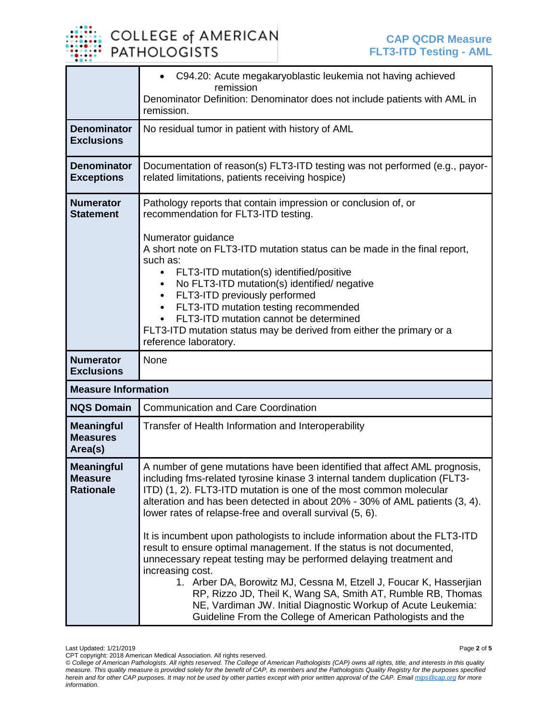

|                                                          | C94.20: Acute megakaryoblastic leukemia not having achieved<br>remission<br>Denominator Definition: Denominator does not include patients with AML in                                                                                                                                                                                                                                                                                                                                                                                                                                                                                                                                                                                                                                                                             |  |  |  |
|----------------------------------------------------------|-----------------------------------------------------------------------------------------------------------------------------------------------------------------------------------------------------------------------------------------------------------------------------------------------------------------------------------------------------------------------------------------------------------------------------------------------------------------------------------------------------------------------------------------------------------------------------------------------------------------------------------------------------------------------------------------------------------------------------------------------------------------------------------------------------------------------------------|--|--|--|
|                                                          | remission.                                                                                                                                                                                                                                                                                                                                                                                                                                                                                                                                                                                                                                                                                                                                                                                                                        |  |  |  |
| <b>Denominator</b><br><b>Exclusions</b>                  | No residual tumor in patient with history of AML                                                                                                                                                                                                                                                                                                                                                                                                                                                                                                                                                                                                                                                                                                                                                                                  |  |  |  |
| <b>Denominator</b><br><b>Exceptions</b>                  | Documentation of reason(s) FLT3-ITD testing was not performed (e.g., payor-<br>related limitations, patients receiving hospice)                                                                                                                                                                                                                                                                                                                                                                                                                                                                                                                                                                                                                                                                                                   |  |  |  |
| <b>Numerator</b><br><b>Statement</b><br><b>Numerator</b> | Pathology reports that contain impression or conclusion of, or<br>recommendation for FLT3-ITD testing.<br>Numerator guidance<br>A short note on FLT3-ITD mutation status can be made in the final report,<br>such as:<br>FLT3-ITD mutation(s) identified/positive<br>No FLT3-ITD mutation(s) identified/ negative<br>FLT3-ITD previously performed<br>$\bullet$<br>FLT3-ITD mutation testing recommended<br>FLT3-ITD mutation cannot be determined<br>FLT3-ITD mutation status may be derived from either the primary or a<br>reference laboratory.<br>None                                                                                                                                                                                                                                                                       |  |  |  |
| <b>Exclusions</b>                                        |                                                                                                                                                                                                                                                                                                                                                                                                                                                                                                                                                                                                                                                                                                                                                                                                                                   |  |  |  |
| <b>Measure Information</b>                               |                                                                                                                                                                                                                                                                                                                                                                                                                                                                                                                                                                                                                                                                                                                                                                                                                                   |  |  |  |
| <b>NQS Domain</b>                                        | <b>Communication and Care Coordination</b>                                                                                                                                                                                                                                                                                                                                                                                                                                                                                                                                                                                                                                                                                                                                                                                        |  |  |  |
| <b>Meaningful</b><br><b>Measures</b><br>Area(s)          | Transfer of Health Information and Interoperability                                                                                                                                                                                                                                                                                                                                                                                                                                                                                                                                                                                                                                                                                                                                                                               |  |  |  |
| <b>Meaningful</b><br><b>Measure</b><br><b>Rationale</b>  | A number of gene mutations have been identified that affect AML prognosis,<br>including fms-related tyrosine kinase 3 internal tandem duplication (FLT3-<br>ITD) (1, 2). FLT3-ITD mutation is one of the most common molecular<br>alteration and has been detected in about 20% - 30% of AML patients (3, 4).<br>lower rates of relapse-free and overall survival (5, 6).<br>It is incumbent upon pathologists to include information about the FLT3-ITD<br>result to ensure optimal management. If the status is not documented,<br>unnecessary repeat testing may be performed delaying treatment and<br>increasing cost.<br>1. Arber DA, Borowitz MJ, Cessna M, Etzell J, Foucar K, Hasserjian<br>RP, Rizzo JD, Theil K, Wang SA, Smith AT, Rumble RB, Thomas<br>NE, Vardiman JW. Initial Diagnostic Workup of Acute Leukemia: |  |  |  |

Last Updated: 1/21/2019 Page **2** of **5**

CPT copyright: 2018 American Medical Association. All rights reserved.

*<sup>©</sup> College of American Pathologists. All rights reserved. The College of American Pathologists (CAP) owns all rights, title, and interests in this quality measure. This quality measure is provided solely for the benefit of CAP, its members and the Pathologists Quality Registry for the purposes specified herein and for other CAP purposes. It may not be used by other parties except with prior written approval of the CAP. Emai[l mips@cap.org](mailto:mips@cap.org) for more information.*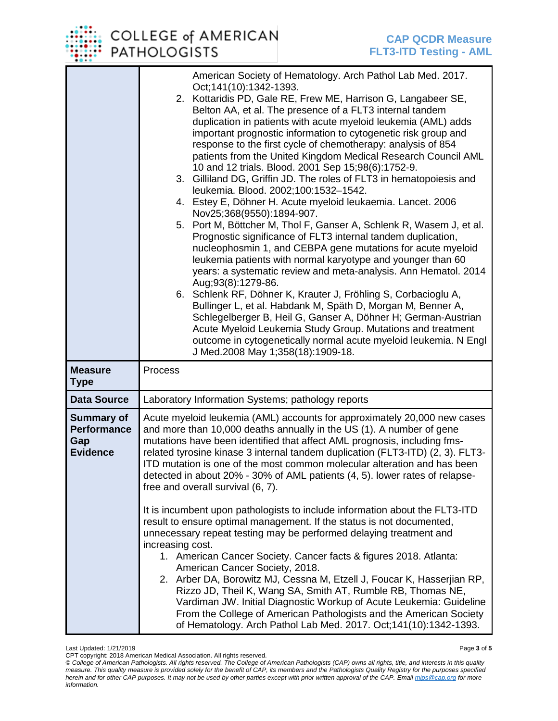## COLLEGE of AMERICAN **PATHOLOGISTS**

|                                                                   | American Society of Hematology. Arch Pathol Lab Med. 2017.<br>Oct; 141(10): 1342-1393.<br>2. Kottaridis PD, Gale RE, Frew ME, Harrison G, Langabeer SE,<br>Belton AA, et al. The presence of a FLT3 internal tandem<br>duplication in patients with acute myeloid leukemia (AML) adds<br>important prognostic information to cytogenetic risk group and<br>response to the first cycle of chemotherapy: analysis of 854<br>patients from the United Kingdom Medical Research Council AML<br>10 and 12 trials. Blood. 2001 Sep 15;98(6):1752-9.<br>3. Gilliland DG, Griffin JD. The roles of FLT3 in hematopoiesis and<br>leukemia. Blood. 2002;100:1532-1542.<br>4. Estey E, Döhner H. Acute myeloid leukaemia. Lancet. 2006<br>Nov25;368(9550):1894-907.<br>5. Port M, Böttcher M, Thol F, Ganser A, Schlenk R, Wasem J, et al.<br>Prognostic significance of FLT3 internal tandem duplication,<br>nucleophosmin 1, and CEBPA gene mutations for acute myeloid<br>leukemia patients with normal karyotype and younger than 60<br>years: a systematic review and meta-analysis. Ann Hematol. 2014<br>Aug;93(8):1279-86.<br>6. Schlenk RF, Döhner K, Krauter J, Fröhling S, Corbacioglu A,<br>Bullinger L, et al. Habdank M, Späth D, Morgan M, Benner A,<br>Schlegelberger B, Heil G, Ganser A, Döhner H; German-Austrian<br>Acute Myeloid Leukemia Study Group. Mutations and treatment<br>outcome in cytogenetically normal acute myeloid leukemia. N Engl<br>J Med.2008 May 1;358(18):1909-18. |
|-------------------------------------------------------------------|---------------------------------------------------------------------------------------------------------------------------------------------------------------------------------------------------------------------------------------------------------------------------------------------------------------------------------------------------------------------------------------------------------------------------------------------------------------------------------------------------------------------------------------------------------------------------------------------------------------------------------------------------------------------------------------------------------------------------------------------------------------------------------------------------------------------------------------------------------------------------------------------------------------------------------------------------------------------------------------------------------------------------------------------------------------------------------------------------------------------------------------------------------------------------------------------------------------------------------------------------------------------------------------------------------------------------------------------------------------------------------------------------------------------------------------------------------------------------------------------------|
| <b>Measure</b><br><b>Type</b>                                     | Process                                                                                                                                                                                                                                                                                                                                                                                                                                                                                                                                                                                                                                                                                                                                                                                                                                                                                                                                                                                                                                                                                                                                                                                                                                                                                                                                                                                                                                                                                           |
| <b>Data Source</b>                                                | Laboratory Information Systems; pathology reports                                                                                                                                                                                                                                                                                                                                                                                                                                                                                                                                                                                                                                                                                                                                                                                                                                                                                                                                                                                                                                                                                                                                                                                                                                                                                                                                                                                                                                                 |
| <b>Summary of</b><br><b>Performance</b><br>Gap<br><b>Evidence</b> | Acute myeloid leukemia (AML) accounts for approximately 20,000 new cases<br>and more than 10,000 deaths annually in the US (1). A number of gene<br>mutations have been identified that affect AML prognosis, including fms-<br>related tyrosine kinase 3 internal tandem duplication (FLT3-ITD) (2, 3). FLT3-<br>ITD mutation is one of the most common molecular alteration and has been<br>detected in about 20% - 30% of AML patients (4, 5). lower rates of relapse-<br>free and overall survival (6, 7).<br>It is incumbent upon pathologists to include information about the FLT3-ITD<br>result to ensure optimal management. If the status is not documented,<br>unnecessary repeat testing may be performed delaying treatment and<br>increasing cost.<br>1. American Cancer Society. Cancer facts & figures 2018. Atlanta:<br>American Cancer Society, 2018.<br>2. Arber DA, Borowitz MJ, Cessna M, Etzell J, Foucar K, Hasserjian RP,<br>Rizzo JD, Theil K, Wang SA, Smith AT, Rumble RB, Thomas NE,<br>Vardiman JW. Initial Diagnostic Workup of Acute Leukemia: Guideline<br>From the College of American Pathologists and the American Society<br>of Hematology. Arch Pathol Lab Med. 2017. Oct;141(10):1342-1393.                                                                                                                                                                                                                                                                 |

CPT copyright: 2018 American Medical Association. All rights reserved. *© College of American Pathologists. All rights reserved. The College of American Pathologists (CAP) owns all rights, title, and interests in this quality measure. This quality measure is provided solely for the benefit of CAP, its members and the Pathologists Quality Registry for the purposes specified herein and for other CAP purposes. It may not be used by other parties except with prior written approval of the CAP. Emai[l mips@cap.org](mailto:mips@cap.org) for more information.*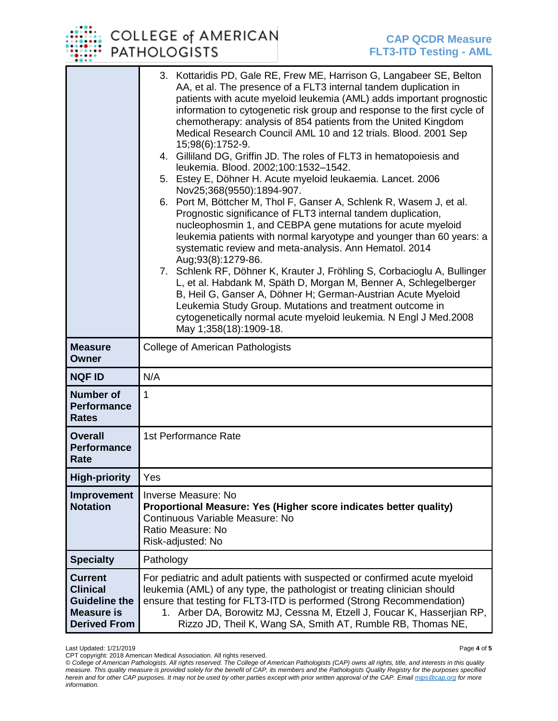# **COLLEGE of AMERICAN PATHOLOGISTS**

|                                                                                                       | 3. Kottaridis PD, Gale RE, Frew ME, Harrison G, Langabeer SE, Belton<br>AA, et al. The presence of a FLT3 internal tandem duplication in<br>patients with acute myeloid leukemia (AML) adds important prognostic<br>information to cytogenetic risk group and response to the first cycle of<br>chemotherapy: analysis of 854 patients from the United Kingdom<br>Medical Research Council AML 10 and 12 trials. Blood. 2001 Sep<br>15;98(6):1752-9.<br>4. Gilliland DG, Griffin JD. The roles of FLT3 in hematopoiesis and<br>leukemia. Blood. 2002;100:1532-1542.<br>5. Estey E, Döhner H. Acute myeloid leukaemia. Lancet. 2006<br>Nov25;368(9550):1894-907.<br>6. Port M, Böttcher M, Thol F, Ganser A, Schlenk R, Wasem J, et al.<br>Prognostic significance of FLT3 internal tandem duplication,<br>nucleophosmin 1, and CEBPA gene mutations for acute myeloid<br>leukemia patients with normal karyotype and younger than 60 years: a<br>systematic review and meta-analysis. Ann Hematol. 2014<br>Aug;93(8):1279-86.<br>7. Schlenk RF, Döhner K, Krauter J, Fröhling S, Corbacioglu A, Bullinger<br>L, et al. Habdank M, Späth D, Morgan M, Benner A, Schlegelberger<br>B, Heil G, Ganser A, Döhner H; German-Austrian Acute Myeloid<br>Leukemia Study Group. Mutations and treatment outcome in<br>cytogenetically normal acute myeloid leukemia. N Engl J Med.2008 |  |
|-------------------------------------------------------------------------------------------------------|-------------------------------------------------------------------------------------------------------------------------------------------------------------------------------------------------------------------------------------------------------------------------------------------------------------------------------------------------------------------------------------------------------------------------------------------------------------------------------------------------------------------------------------------------------------------------------------------------------------------------------------------------------------------------------------------------------------------------------------------------------------------------------------------------------------------------------------------------------------------------------------------------------------------------------------------------------------------------------------------------------------------------------------------------------------------------------------------------------------------------------------------------------------------------------------------------------------------------------------------------------------------------------------------------------------------------------------------------------------------------------|--|
| <b>Measure</b>                                                                                        | May 1;358(18):1909-18.<br>College of American Pathologists                                                                                                                                                                                                                                                                                                                                                                                                                                                                                                                                                                                                                                                                                                                                                                                                                                                                                                                                                                                                                                                                                                                                                                                                                                                                                                                    |  |
| <b>Owner</b>                                                                                          |                                                                                                                                                                                                                                                                                                                                                                                                                                                                                                                                                                                                                                                                                                                                                                                                                                                                                                                                                                                                                                                                                                                                                                                                                                                                                                                                                                               |  |
| <b>NQF ID</b>                                                                                         | N/A                                                                                                                                                                                                                                                                                                                                                                                                                                                                                                                                                                                                                                                                                                                                                                                                                                                                                                                                                                                                                                                                                                                                                                                                                                                                                                                                                                           |  |
| <b>Number of</b><br><b>Performance</b><br><b>Rates</b>                                                | 1                                                                                                                                                                                                                                                                                                                                                                                                                                                                                                                                                                                                                                                                                                                                                                                                                                                                                                                                                                                                                                                                                                                                                                                                                                                                                                                                                                             |  |
| <b>Overall</b><br><b>Performance</b><br>Rate                                                          | 1st Performance Rate                                                                                                                                                                                                                                                                                                                                                                                                                                                                                                                                                                                                                                                                                                                                                                                                                                                                                                                                                                                                                                                                                                                                                                                                                                                                                                                                                          |  |
| <b>High-priority</b>                                                                                  | Yes                                                                                                                                                                                                                                                                                                                                                                                                                                                                                                                                                                                                                                                                                                                                                                                                                                                                                                                                                                                                                                                                                                                                                                                                                                                                                                                                                                           |  |
| Improvement<br><b>Notation</b>                                                                        | <b>Inverse Measure: No</b><br>Proportional Measure: Yes (Higher score indicates better quality)<br>Continuous Variable Measure: No<br>Ratio Measure: No<br>Risk-adjusted: No                                                                                                                                                                                                                                                                                                                                                                                                                                                                                                                                                                                                                                                                                                                                                                                                                                                                                                                                                                                                                                                                                                                                                                                                  |  |
| <b>Specialty</b>                                                                                      | Pathology                                                                                                                                                                                                                                                                                                                                                                                                                                                                                                                                                                                                                                                                                                                                                                                                                                                                                                                                                                                                                                                                                                                                                                                                                                                                                                                                                                     |  |
| <b>Current</b><br><b>Clinical</b><br><b>Guideline the</b><br><b>Measure is</b><br><b>Derived From</b> | For pediatric and adult patients with suspected or confirmed acute myeloid<br>leukemia (AML) of any type, the pathologist or treating clinician should<br>ensure that testing for FLT3-ITD is performed (Strong Recommendation)<br>1. Arber DA, Borowitz MJ, Cessna M, Etzell J, Foucar K, Hasserjian RP,<br>Rizzo JD, Theil K, Wang SA, Smith AT, Rumble RB, Thomas NE,                                                                                                                                                                                                                                                                                                                                                                                                                                                                                                                                                                                                                                                                                                                                                                                                                                                                                                                                                                                                      |  |

Last Updated: 1/21/2019 Page **4** of **5**

CPT copyright: 2018 American Medical Association. All rights reserved.

*© College of American Pathologists. All rights reserved. The College of American Pathologists (CAP) owns all rights, title, and interests in this quality measure. This quality measure is provided solely for the benefit of CAP, its members and the Pathologists Quality Registry for the purposes specified herein and for other CAP purposes. It may not be used by other parties except with prior written approval of the CAP. Emai[l mips@cap.org](mailto:mips@cap.org) for more information.*